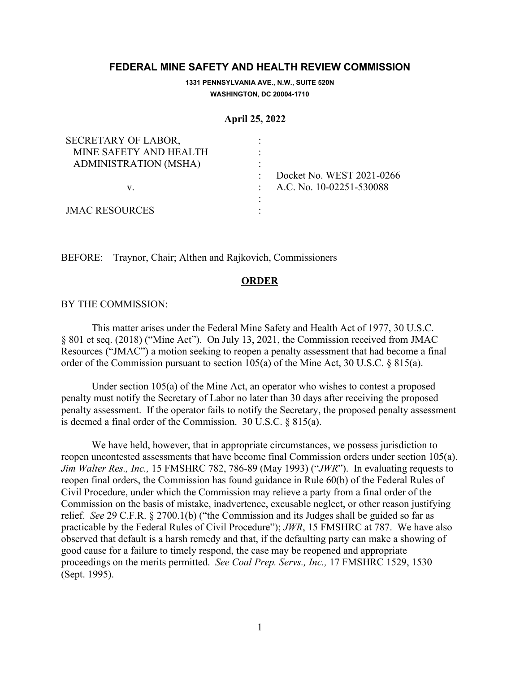# **FEDERAL MINE SAFETY AND HEALTH REVIEW COMMISSION**

**1331 PENNSYLVANIA AVE., N.W., SUITE 520N WASHINGTON, DC 20004-1710**

#### **April 25, 2022**

| SECRETARY OF LABOR,    |                              |
|------------------------|------------------------------|
| MINE SAFETY AND HEALTH |                              |
| ADMINISTRATION (MSHA)  |                              |
|                        | Docket No. WEST 2021-0266    |
| v.                     | : A.C. No. $10-02251-530088$ |
|                        |                              |
| <b>JMAC RESOURCES</b>  |                              |

BEFORE: Traynor, Chair; Althen and Rajkovich, Commissioners

## **ORDER**

### BY THE COMMISSION:

 This matter arises under the Federal Mine Safety and Health Act of 1977, 30 U.S.C. § 801 et seq. (2018) ("Mine Act"). On July 13, 2021, the Commission received from JMAC Resources ("JMAC") a motion seeking to reopen a penalty assessment that had become a final order of the Commission pursuant to section 105(a) of the Mine Act, 30 U.S.C. § 815(a).

 Under section 105(a) of the Mine Act, an operator who wishes to contest a proposed penalty must notify the Secretary of Labor no later than 30 days after receiving the proposed penalty assessment. If the operator fails to notify the Secretary, the proposed penalty assessment is deemed a final order of the Commission. 30 U.S.C. § 815(a).

We have held, however, that in appropriate circumstances, we possess jurisdiction to reopen uncontested assessments that have become final Commission orders under section 105(a). *Jim Walter Res., Inc.,* 15 FMSHRC 782, 786-89 (May 1993) ("*JWR*"). In evaluating requests to reopen final orders, the Commission has found guidance in Rule 60(b) of the Federal Rules of Civil Procedure, under which the Commission may relieve a party from a final order of the Commission on the basis of mistake, inadvertence, excusable neglect, or other reason justifying relief. *See* 29 C.F.R. § 2700.1(b) ("the Commission and its Judges shall be guided so far as practicable by the Federal Rules of Civil Procedure"); *JWR*, 15 FMSHRC at 787. We have also observed that default is a harsh remedy and that, if the defaulting party can make a showing of good cause for a failure to timely respond, the case may be reopened and appropriate proceedings on the merits permitted. *See Coal Prep. Servs., Inc.,* 17 FMSHRC 1529, 1530 (Sept. 1995).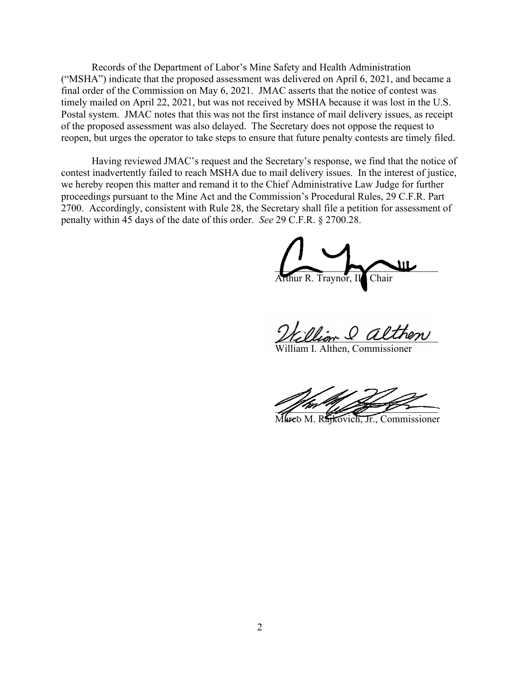Records of the Department of Labor's Mine Safety and Health Administration ("MSHA") indicate that the proposed assessment was delivered on April 6, 2021, and became a final order of the Commission on May 6, 2021. JMAC asserts that the notice of contest was timely mailed on April 22, 2021, but was not received by MSHA because it was lost in the U.S. Postal system. JMAC notes that this was not the first instance of mail delivery issues, as receipt of the proposed assessment was also delayed. The Secretary does not oppose the request to reopen, but urges the operator to take steps to ensure that future penalty contests are timely filed.

 Having reviewed JMAC's request and the Secretary's response, we find that the notice of contest inadvertently failed to reach MSHA due to mail delivery issues. In the interest of justice, we hereby reopen this matter and remand it to the Chief Administrative Law Judge for further proceedings pursuant to the Mine Act and the Commission's Procedural Rules, 29 C.F.R. Part 2700. Accordingly, consistent with Rule 28, the Secretary shall file a petition for assessment of penalty within 45 days of the date of this order. *See* 29 C.F.R. § 2700.28.

 $\overline{\phantom{a}}$ Arthur R. Traynor, II<sup>I</sup>, Chair

\_\_\_\_\_\_\_\_\_\_\_\_\_\_\_\_\_\_\_\_\_\_\_\_\_\_\_\_\_\_\_\_

m L. Althen, Commissioner

 $\mathbb{Z}/\mathbb{Z}$  and  $\mathbb{Z}/\mathbb{Z}$ 

Marco M. Rajkovich, Jr., Commissioner